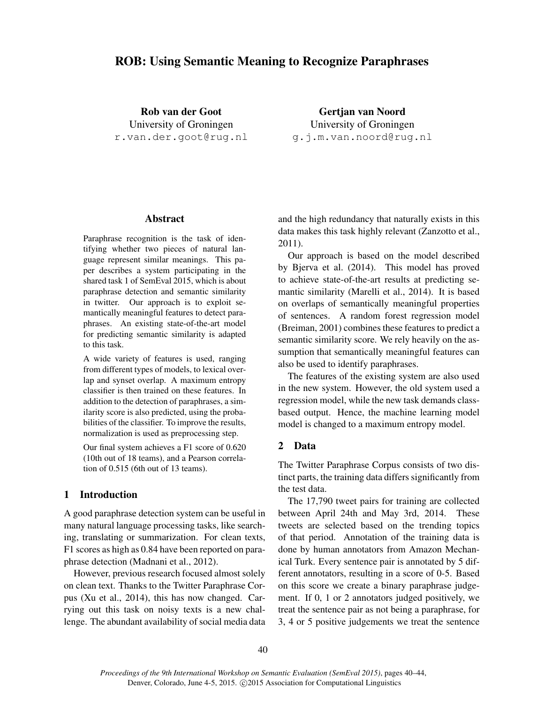# ROB: Using Semantic Meaning to Recognize Paraphrases

Rob van der Goot University of Groningen r.van.der.goot@rug.nl

Gertjan van Noord University of Groningen g.j.m.van.noord@rug.nl

# Abstract

Paraphrase recognition is the task of identifying whether two pieces of natural language represent similar meanings. This paper describes a system participating in the shared task 1 of SemEval 2015, which is about paraphrase detection and semantic similarity in twitter. Our approach is to exploit semantically meaningful features to detect paraphrases. An existing state-of-the-art model for predicting semantic similarity is adapted to this task.

A wide variety of features is used, ranging from different types of models, to lexical overlap and synset overlap. A maximum entropy classifier is then trained on these features. In addition to the detection of paraphrases, a similarity score is also predicted, using the probabilities of the classifier. To improve the results, normalization is used as preprocessing step.

Our final system achieves a F1 score of 0.620 (10th out of 18 teams), and a Pearson correlation of 0.515 (6th out of 13 teams).

# 1 Introduction

A good paraphrase detection system can be useful in many natural language processing tasks, like searching, translating or summarization. For clean texts, F1 scores as high as 0.84 have been reported on paraphrase detection (Madnani et al., 2012).

However, previous research focused almost solely on clean text. Thanks to the Twitter Paraphrase Corpus (Xu et al., 2014), this has now changed. Carrying out this task on noisy texts is a new challenge. The abundant availability of social media data and the high redundancy that naturally exists in this data makes this task highly relevant (Zanzotto et al., 2011).

Our approach is based on the model described by Bjerva et al. (2014). This model has proved to achieve state-of-the-art results at predicting semantic similarity (Marelli et al., 2014). It is based on overlaps of semantically meaningful properties of sentences. A random forest regression model (Breiman, 2001) combines these features to predict a semantic similarity score. We rely heavily on the assumption that semantically meaningful features can also be used to identify paraphrases.

The features of the existing system are also used in the new system. However, the old system used a regression model, while the new task demands classbased output. Hence, the machine learning model model is changed to a maximum entropy model.

# 2 Data

The Twitter Paraphrase Corpus consists of two distinct parts, the training data differs significantly from the test data.

The 17,790 tweet pairs for training are collected between April 24th and May 3rd, 2014. These tweets are selected based on the trending topics of that period. Annotation of the training data is done by human annotators from Amazon Mechanical Turk. Every sentence pair is annotated by 5 different annotators, resulting in a score of 0-5. Based on this score we create a binary paraphrase judgement. If 0, 1 or 2 annotators judged positively, we treat the sentence pair as not being a paraphrase, for 3, 4 or 5 positive judgements we treat the sentence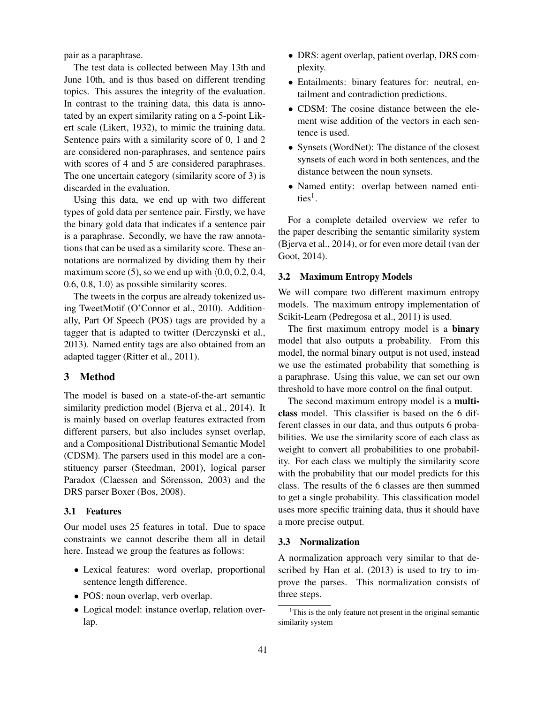pair as a paraphrase.

The test data is collected between May 13th and June 10th, and is thus based on different trending topics. This assures the integrity of the evaluation. In contrast to the training data, this data is annotated by an expert similarity rating on a 5-point Likert scale (Likert, 1932), to mimic the training data. Sentence pairs with a similarity score of 0, 1 and 2 are considered non-paraphrases, and sentence pairs with scores of 4 and 5 are considered paraphrases. The one uncertain category (similarity score of 3) is discarded in the evaluation.

Using this data, we end up with two different types of gold data per sentence pair. Firstly, we have the binary gold data that indicates if a sentence pair is a paraphrase. Secondly, we have the raw annotations that can be used as a similarity score. These annotations are normalized by dividing them by their maximum score (5), so we end up with  $(0.0, 0.2, 0.4,$ 0.6, 0.8, 1.0) as possible similarity scores.

The tweets in the corpus are already tokenized using TweetMotif (O'Connor et al., 2010). Additionally, Part Of Speech (POS) tags are provided by a tagger that is adapted to twitter (Derczynski et al., 2013). Named entity tags are also obtained from an adapted tagger (Ritter et al., 2011).

# 3 Method

The model is based on a state-of-the-art semantic similarity prediction model (Bjerva et al., 2014). It is mainly based on overlap features extracted from different parsers, but also includes synset overlap, and a Compositional Distributional Semantic Model (CDSM). The parsers used in this model are a constituency parser (Steedman, 2001), logical parser Paradox (Claessen and Sörensson, 2003) and the DRS parser Boxer (Bos, 2008).

#### 3.1 Features

Our model uses 25 features in total. Due to space constraints we cannot describe them all in detail here. Instead we group the features as follows:

- Lexical features: word overlap, proportional sentence length difference.
- POS: noun overlap, verb overlap.
- Logical model: instance overlap, relation overlap.
- DRS: agent overlap, patient overlap, DRS complexity.
- Entailments: binary features for: neutral, entailment and contradiction predictions.
- CDSM: The cosine distance between the element wise addition of the vectors in each sentence is used.
- Synsets (WordNet): The distance of the closest synsets of each word in both sentences, and the distance between the noun synsets.
- Named entity: overlap between named entities<sup>1</sup>.

For a complete detailed overview we refer to the paper describing the semantic similarity system (Bjerva et al., 2014), or for even more detail (van der Goot, 2014).

#### 3.2 Maximum Entropy Models

We will compare two different maximum entropy models. The maximum entropy implementation of Scikit-Learn (Pedregosa et al., 2011) is used.

The first maximum entropy model is a **binary** model that also outputs a probability. From this model, the normal binary output is not used, instead we use the estimated probability that something is a paraphrase. Using this value, we can set our own threshold to have more control on the final output.

The second maximum entropy model is a **multi**class model. This classifier is based on the 6 different classes in our data, and thus outputs 6 probabilities. We use the similarity score of each class as weight to convert all probabilities to one probability. For each class we multiply the similarity score with the probability that our model predicts for this class. The results of the 6 classes are then summed to get a single probability. This classification model uses more specific training data, thus it should have a more precise output.

#### 3.3 Normalization

A normalization approach very similar to that described by Han et al. (2013) is used to try to improve the parses. This normalization consists of three steps.

<sup>&</sup>lt;sup>1</sup>This is the only feature not present in the original semantic similarity system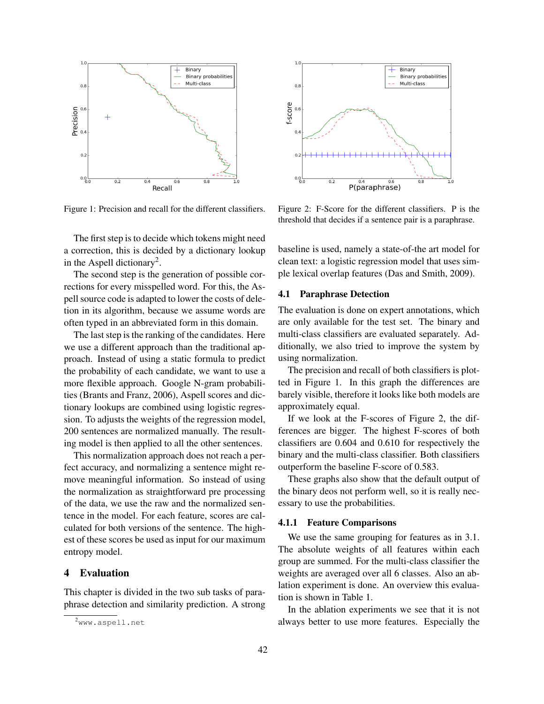

Figure 1: Precision and recall for the different classifiers.

The first step is to decide which tokens might need a correction, this is decided by a dictionary lookup in the Aspell dictionary<sup>2</sup>.

The second step is the generation of possible corrections for every misspelled word. For this, the Aspell source code is adapted to lower the costs of deletion in its algorithm, because we assume words are often typed in an abbreviated form in this domain.

The last step is the ranking of the candidates. Here we use a different approach than the traditional approach. Instead of using a static formula to predict the probability of each candidate, we want to use a more flexible approach. Google N-gram probabilities (Brants and Franz, 2006), Aspell scores and dictionary lookups are combined using logistic regression. To adjusts the weights of the regression model, 200 sentences are normalized manually. The resulting model is then applied to all the other sentences.

This normalization approach does not reach a perfect accuracy, and normalizing a sentence might remove meaningful information. So instead of using the normalization as straightforward pre processing of the data, we use the raw and the normalized sentence in the model. For each feature, scores are calculated for both versions of the sentence. The highest of these scores be used as input for our maximum entropy model.

# 4 Evaluation

This chapter is divided in the two sub tasks of paraphrase detection and similarity prediction. A strong



Figure 2: F-Score for the different classifiers. P is the threshold that decides if a sentence pair is a paraphrase.

baseline is used, namely a state-of-the art model for clean text: a logistic regression model that uses simple lexical overlap features (Das and Smith, 2009).

### 4.1 Paraphrase Detection

The evaluation is done on expert annotations, which are only available for the test set. The binary and multi-class classifiers are evaluated separately. Additionally, we also tried to improve the system by using normalization.

The precision and recall of both classifiers is plotted in Figure 1. In this graph the differences are barely visible, therefore it looks like both models are approximately equal.

If we look at the F-scores of Figure 2, the differences are bigger. The highest F-scores of both classifiers are 0.604 and 0.610 for respectively the binary and the multi-class classifier. Both classifiers outperform the baseline F-score of 0.583.

These graphs also show that the default output of the binary deos not perform well, so it is really necessary to use the probabilities.

#### 4.1.1 Feature Comparisons

We use the same grouping for features as in 3.1. The absolute weights of all features within each group are summed. For the multi-class classifier the weights are averaged over all 6 classes. Also an ablation experiment is done. An overview this evaluation is shown in Table 1.

In the ablation experiments we see that it is not always better to use more features. Especially the

<sup>2</sup>www.aspell.net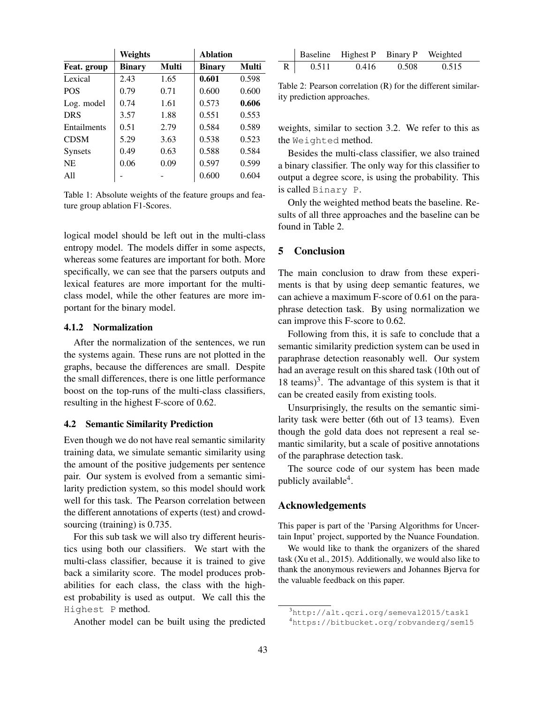|                | Weights       |       | <b>Ablation</b> |       |
|----------------|---------------|-------|-----------------|-------|
| Feat. group    | <b>Binary</b> | Multi | <b>Binary</b>   | Multi |
| Lexical        | 2.43          | 1.65  | 0.601           | 0.598 |
| <b>POS</b>     | 0.79          | 0.71  | 0.600           | 0.600 |
| Log. model     | 0.74          | 1.61  | 0.573           | 0.606 |
| <b>DRS</b>     | 3.57          | 1.88  | 0.551           | 0.553 |
| Entailments    | 0.51          | 2.79  | 0.584           | 0.589 |
| <b>CDSM</b>    | 5.29          | 3.63  | 0.538           | 0.523 |
| <b>Synsets</b> | 0.49          | 0.63  | 0.588           | 0.584 |
| N <sub>E</sub> | 0.06          | 0.09  | 0.597           | 0.599 |
| A11            |               |       | 0.600           | 0.604 |

Table 1: Absolute weights of the feature groups and feature group ablation F1-Scores.

logical model should be left out in the multi-class entropy model. The models differ in some aspects, whereas some features are important for both. More specifically, we can see that the parsers outputs and lexical features are more important for the multiclass model, while the other features are more important for the binary model.

# 4.1.2 Normalization

After the normalization of the sentences, we run the systems again. These runs are not plotted in the graphs, because the differences are small. Despite the small differences, there is one little performance boost on the top-runs of the multi-class classifiers, resulting in the highest F-score of 0.62.

### 4.2 Semantic Similarity Prediction

Even though we do not have real semantic similarity training data, we simulate semantic similarity using the amount of the positive judgements per sentence pair. Our system is evolved from a semantic similarity prediction system, so this model should work well for this task. The Pearson correlation between the different annotations of experts (test) and crowdsourcing (training) is 0.735.

For this sub task we will also try different heuristics using both our classifiers. We start with the multi-class classifier, because it is trained to give back a similarity score. The model produces probabilities for each class, the class with the highest probability is used as output. We call this the Highest P method.

Another model can be built using the predicted

|              |       | Baseline Highest P Binary P Weighted |       |       |  |
|--------------|-------|--------------------------------------|-------|-------|--|
| $\mathbf{R}$ | 0.511 | 0.416                                | 0.508 | 0.515 |  |

Table 2: Pearson correlation (R) for the different similarity prediction approaches.

weights, similar to section 3.2. We refer to this as the Weighted method.

Besides the multi-class classifier, we also trained a binary classifier. The only way for this classifier to output a degree score, is using the probability. This is called Binary P.

Only the weighted method beats the baseline. Results of all three approaches and the baseline can be found in Table 2.

# 5 Conclusion

The main conclusion to draw from these experiments is that by using deep semantic features, we can achieve a maximum F-score of 0.61 on the paraphrase detection task. By using normalization we can improve this F-score to 0.62.

Following from this, it is safe to conclude that a semantic similarity prediction system can be used in paraphrase detection reasonably well. Our system had an average result on this shared task (10th out of 18 teams)<sup>3</sup>. The advantage of this system is that it can be created easily from existing tools.

Unsurprisingly, the results on the semantic similarity task were better (6th out of 13 teams). Even though the gold data does not represent a real semantic similarity, but a scale of positive annotations of the paraphrase detection task.

The source code of our system has been made publicly available<sup>4</sup>.

### Acknowledgements

This paper is part of the 'Parsing Algorithms for Uncertain Input' project, supported by the Nuance Foundation.

We would like to thank the organizers of the shared task (Xu et al., 2015). Additionally, we would also like to thank the anonymous reviewers and Johannes Bjerva for the valuable feedback on this paper.

<sup>3</sup>http://alt.qcri.org/semeval2015/task1

<sup>4</sup>https://bitbucket.org/robvanderg/sem15